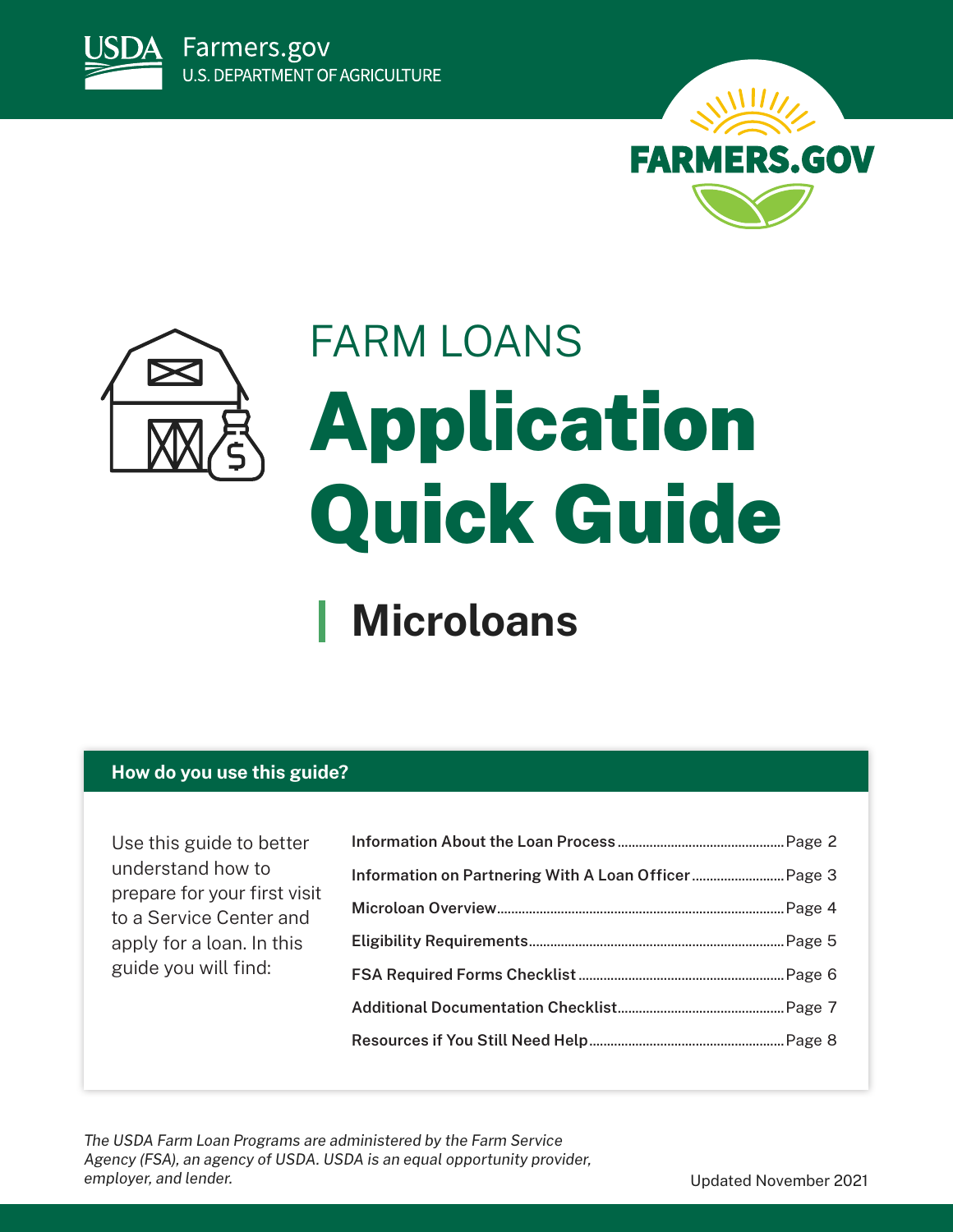





# FARM LOANS Application Quick Guide

## **Microloans**

## **How do you use this guide?**

Use this guide to better understand how to prepare for your first visit to a Service Center and apply for a loan. In this guide you will find:

*The USDA Farm Loan Programs are administered by the Farm Service Agency (FSA), an agency of USDA. USDA is an equal opportunity provider,*  employer, and lender. The same of the same of the set of the set of the Updated November 2021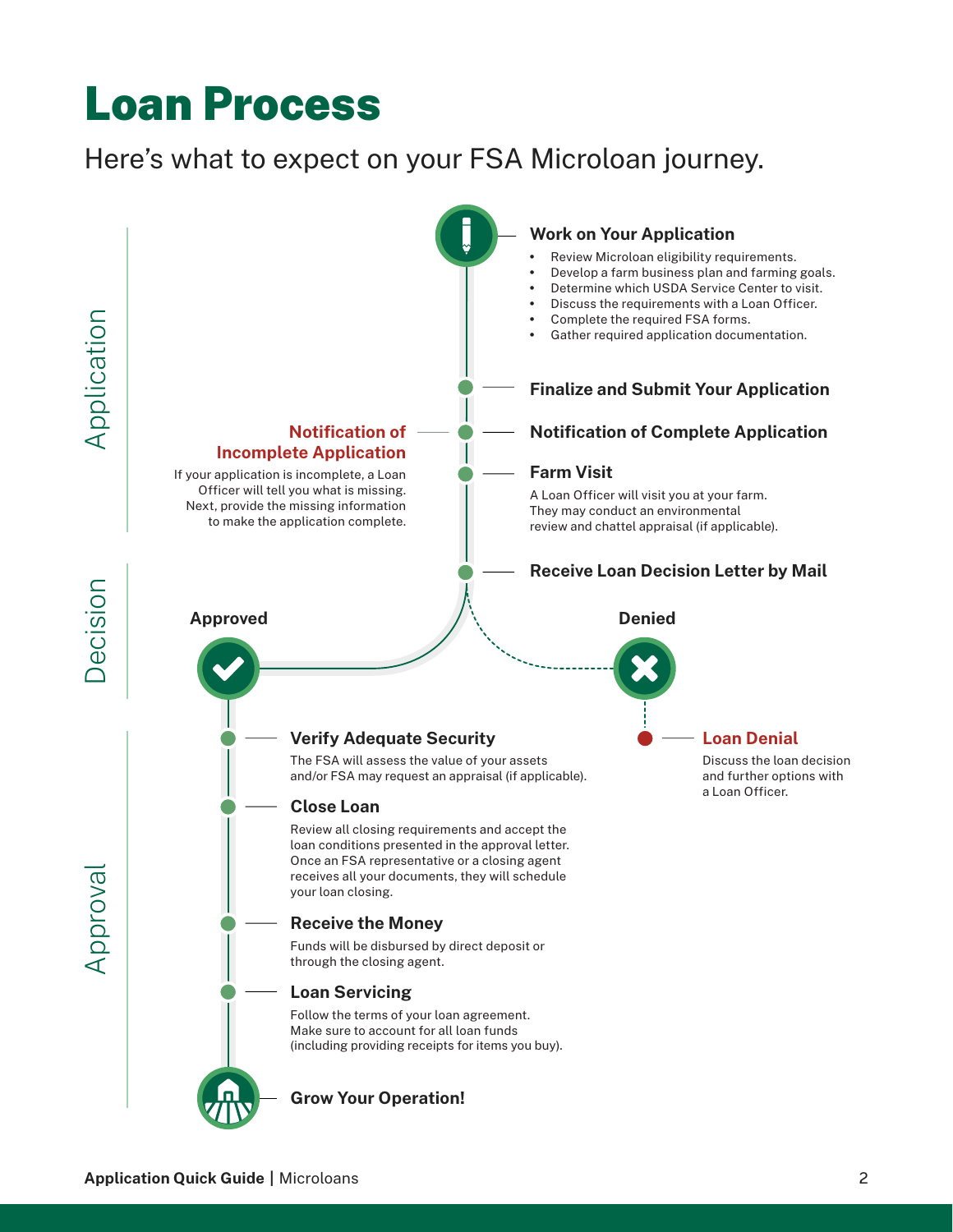## <span id="page-1-0"></span>Loan Process

## Here's what to expect on your FSA Microloan journey.

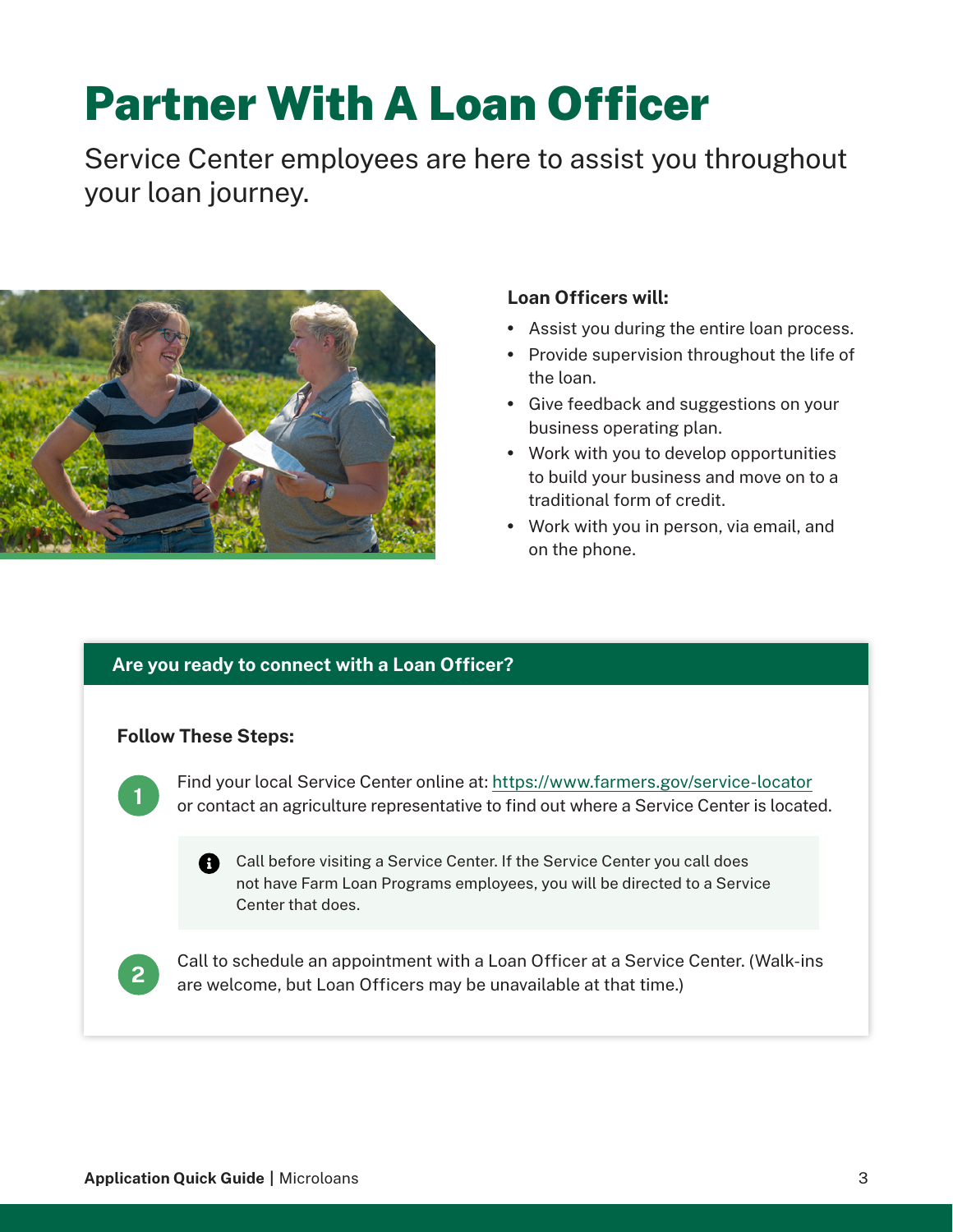## <span id="page-2-0"></span>Partner With A Loan Officer

Service Center employees are here to assist you throughout your loan journey.



## **Loan Officers will:**

- Assist you during the entire loan process.
- Provide supervision throughout the life of the loan.
- Give feedback and suggestions on your business operating plan.
- Work with you to develop opportunities to build your business and move on to a traditional form of credit.
- Work with you in person, via email, and on the phone.

## **Are you ready to connect with a Loan Officer?**

## **Follow These Steps:**



Find your local Service Center online at:<https://www.farmers.gov/service-locator> or contact an agriculture representative to find out where a Service Center is located.

**Call before visiting a Service Center. If the Service Center you call does** not have Farm Loan Programs employees, you will be directed to a Service Center that does.



Call to schedule an appointment with a Loan Officer at a Service Center. (Walk-ins are welcome, but Loan Officers may be unavailable at that time.)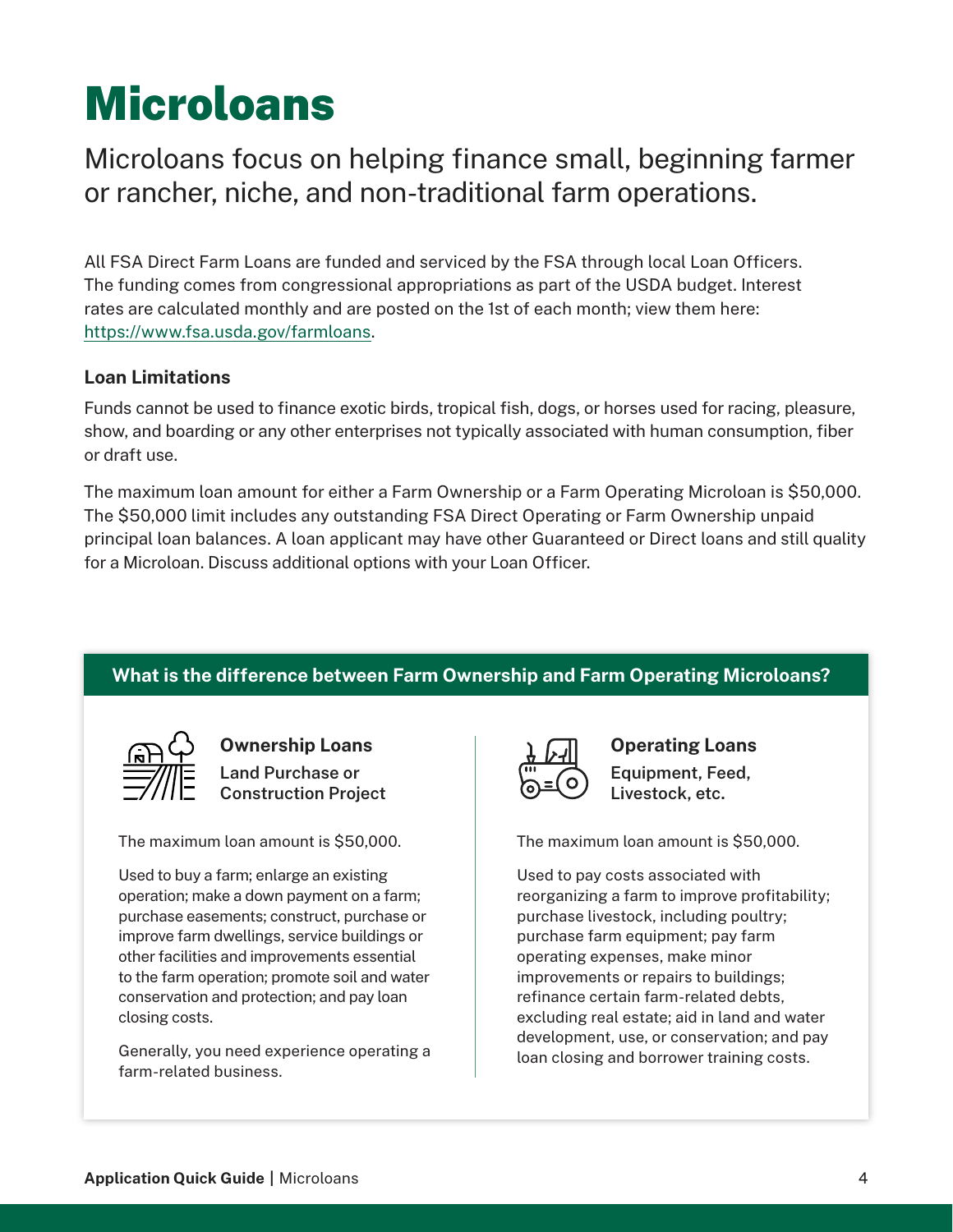## <span id="page-3-0"></span>Microloans

Microloans focus on helping finance small, beginning farmer or rancher, niche, and non-traditional farm operations.

All FSA Direct Farm Loans are funded and serviced by the FSA through local Loan Officers. The funding comes from congressional appropriations as part of the USDA budget. Interest rates are calculated monthly and are posted on the 1st of each month; view them here: [https://www.fsa.usda.gov/farmloans.](https://www.fsa.usda.gov/farmloans)

## **Loan Limitations**

Funds cannot be used to finance exotic birds, tropical fish, dogs, or horses used for racing, pleasure, show, and boarding or any other enterprises not typically associated with human consumption, fiber or draft use.

The maximum loan amount for either a Farm Ownership or a Farm Operating Microloan is \$50,000. The \$50,000 limit includes any outstanding FSA Direct Operating or Farm Ownership unpaid principal loan balances. A loan applicant may have other Guaranteed or Direct loans and still quality for a Microloan. Discuss additional options with your Loan Officer.

## **What is the difference between Farm Ownership and Farm Operating Microloans?**



**Ownership Loans Land Purchase or Construction Project**

The maximum loan amount is \$50,000.

Used to buy a farm; enlarge an existing operation; make a down payment on a farm; purchase easements; construct, purchase or improve farm dwellings, service buildings or other facilities and improvements essential to the farm operation; promote soil and water conservation and protection; and pay loan closing costs.

Generally, you need experience operating a farm-related business.



**Operating Loans Equipment, Feed, Livestock, etc.**

The maximum loan amount is \$50,000.

Used to pay costs associated with reorganizing a farm to improve profitability; purchase livestock, including poultry; purchase farm equipment; pay farm operating expenses, make minor improvements or repairs to buildings; refinance certain farm-related debts, excluding real estate; aid in land and water development, use, or conservation; and pay loan closing and borrower training costs.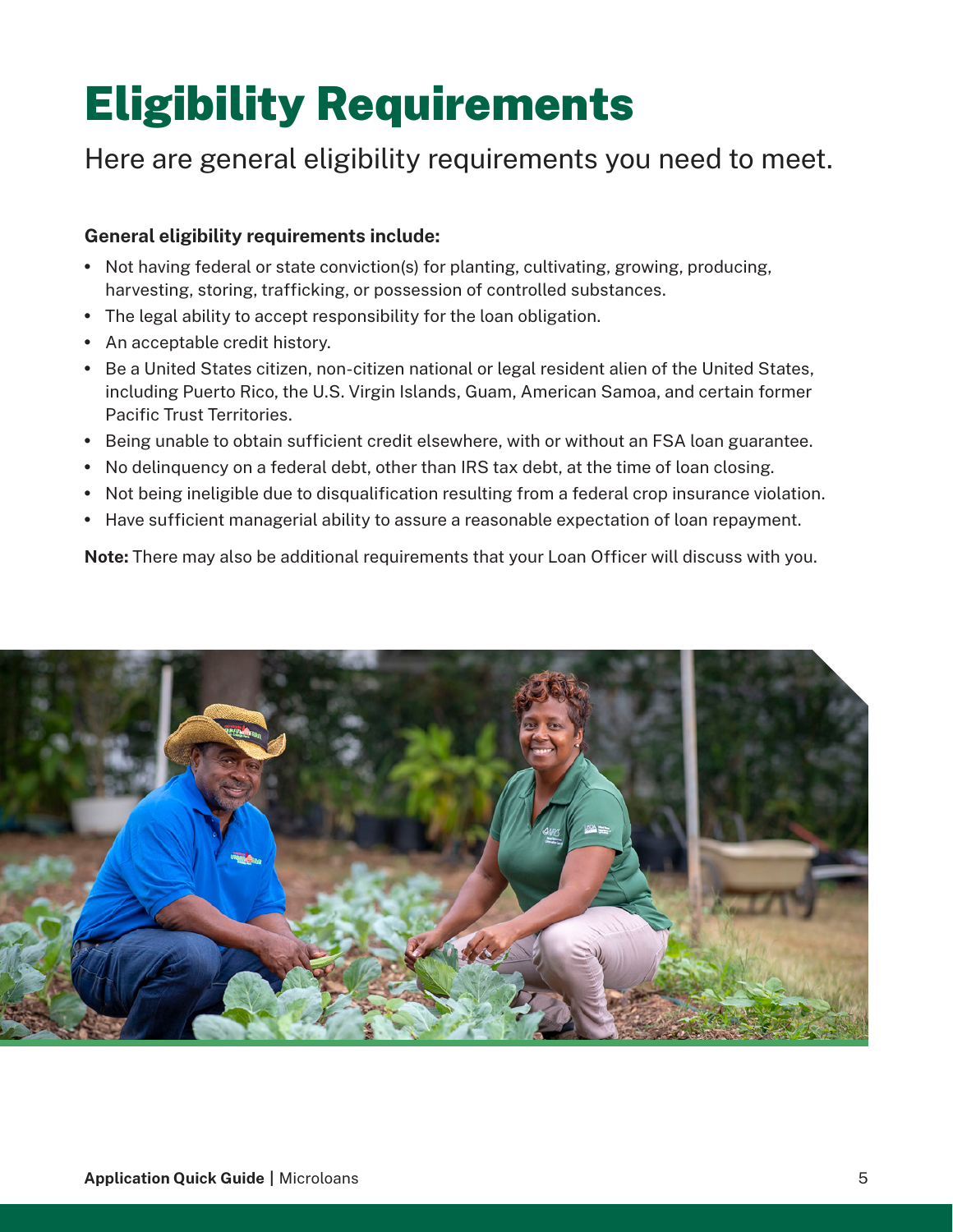## <span id="page-4-0"></span>Eligibility Requirements

## Here are general eligibility requirements you need to meet.

## **General eligibility requirements include:**

- Not having federal or state conviction(s) for planting, cultivating, growing, producing, harvesting, storing, trafficking, or possession of controlled substances.
- The legal ability to accept responsibility for the loan obligation.
- An acceptable credit history.
- Be a United States citizen, non-citizen national or legal resident alien of the United States, including Puerto Rico, the U.S. Virgin Islands, Guam, American Samoa, and certain former Pacific Trust Territories.
- Being unable to obtain sufficient credit elsewhere, with or without an FSA loan guarantee.
- No delinquency on a federal debt, other than IRS tax debt, at the time of loan closing.
- Not being ineligible due to disqualification resulting from a federal crop insurance violation.
- Have sufficient managerial ability to assure a reasonable expectation of loan repayment.

**Note:** There may also be additional requirements that your Loan Officer will discuss with you.

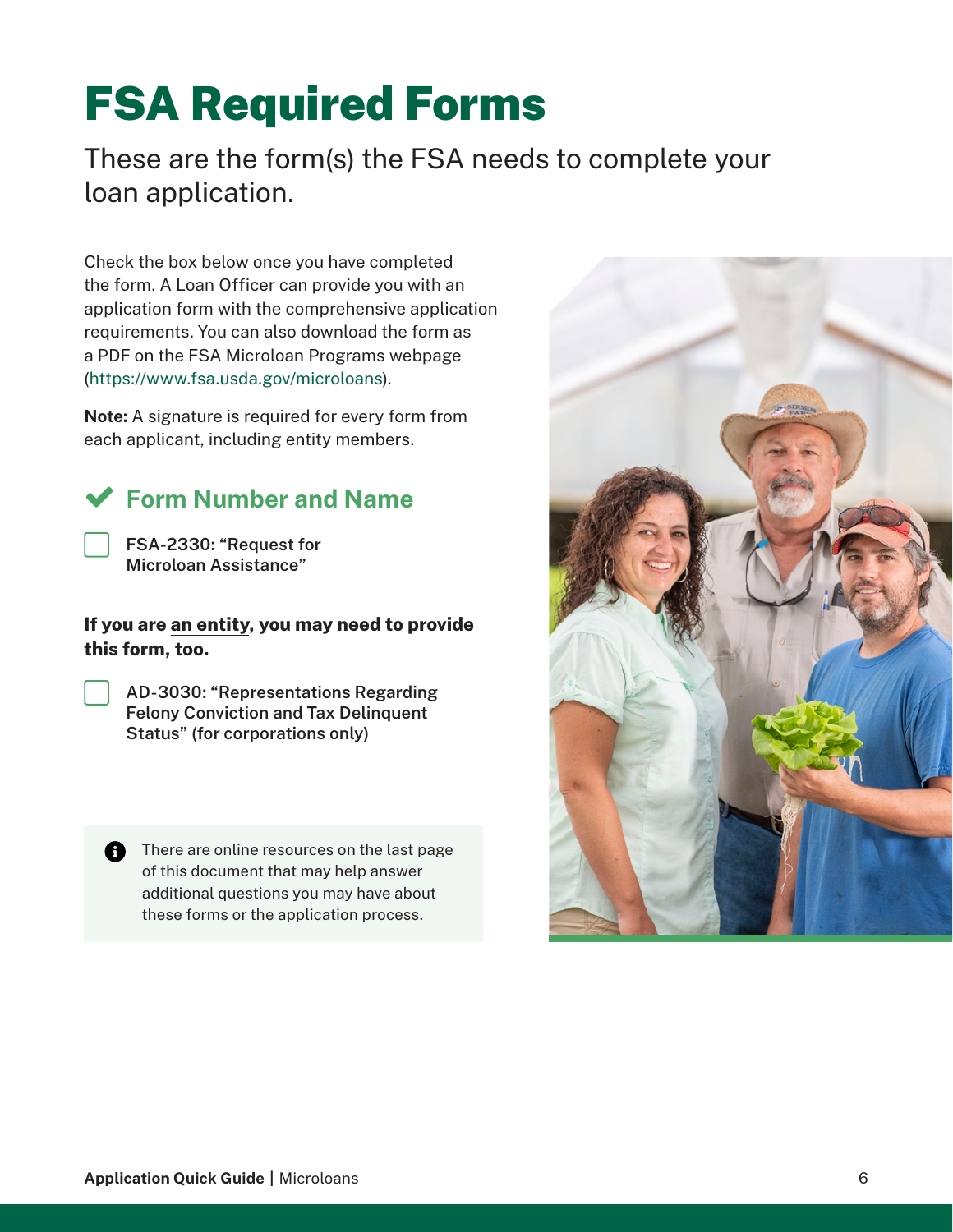## <span id="page-5-0"></span>FSA Required Forms

These are the form(s) the FSA needs to complete your loan application.

Check the box below once you have completed the form. A Loan Officer can provide you with an application form with the comprehensive application requirements. You can also download the form as a PDF on the FSA Microloan Programs webpage [\(https://www.fsa.usda.gov/](https://www.fsa.usda.gov/microloans)microloans).

**Note:** A signature is required for every form from each applicant, including entity members.

## **Form Number and Name**

**FSA-2330: "Request for Microloan Assistance"**

## **If you are an entity, you may need to provide this form, too.**

**AD-3030: "Representations Regarding Felony Conviction and Tax Delinquent Status" (for corporations only)**

There are online resources on the last page of this document that may help answer additional questions you may have about these forms or the application process.

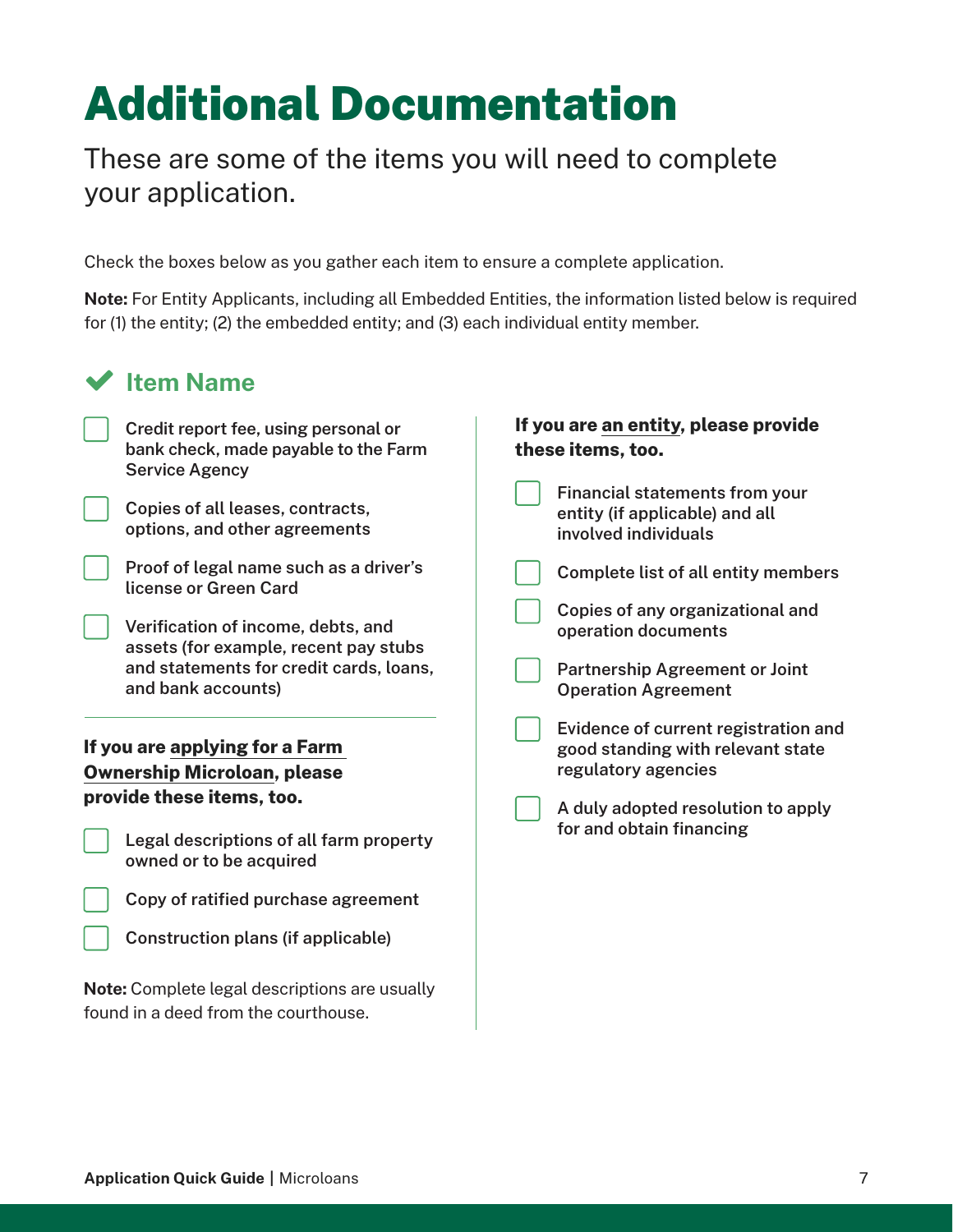## <span id="page-6-0"></span>Additional Documentation

These are some of the items you will need to complete your application.

Check the boxes below as you gather each item to ensure a complete application.

**Note:** For Entity Applicants, including all Embedded Entities, the information listed below is required for (1) the entity; (2) the embedded entity; and (3) each individual entity member.

| <b>Item Name</b>                                                                                      |                                                                                                 |  |
|-------------------------------------------------------------------------------------------------------|-------------------------------------------------------------------------------------------------|--|
| Credit report fee, using personal or<br>bank check, made payable to the Farm<br><b>Service Agency</b> | If you are an entity, please provide<br>these items, too.                                       |  |
| Copies of all leases, contracts,<br>options, and other agreements                                     | <b>Financial statements from your</b><br>entity (if applicable) and all<br>involved individuals |  |
| Proof of legal name such as a driver's<br>license or Green Card                                       | <b>Complete list of all entity members</b>                                                      |  |
| Verification of income, debts, and<br>assets (for example, recent pay stubs                           | Copies of any organizational and<br>operation documents                                         |  |
| and statements for credit cards, loans,<br>and bank accounts)                                         | <b>Partnership Agreement or Joint</b><br><b>Operation Agreement</b>                             |  |
| If you are applying for a Farm                                                                        | Evidence of current registration and<br>good standing with relevant state                       |  |
| <b>Ownership Microloan, please</b>                                                                    | regulatory agencies                                                                             |  |
| provide these items, too.                                                                             | A duly adopted resolution to apply                                                              |  |
| Legal descriptions of all farm property<br>owned or to be acquired                                    | for and obtain financing                                                                        |  |
| Copy of ratified purchase agreement                                                                   |                                                                                                 |  |
| Construction plans (if applicable)                                                                    |                                                                                                 |  |
| <b>Note:</b> Complete legal descriptions are usually                                                  |                                                                                                 |  |
| found in a deed from the courthouse.                                                                  |                                                                                                 |  |